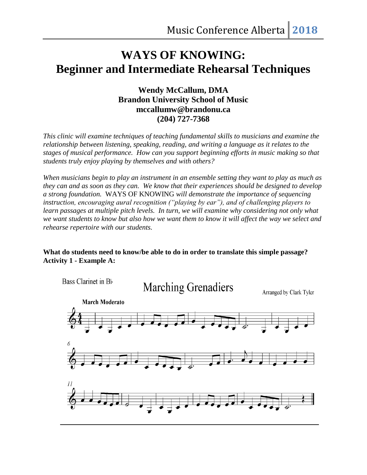# **WAYS OF KNOWING: Beginner and Intermediate Rehearsal Techniques**

## **Wendy McCallum, DMA Brandon University School of Music mccallumw@brandonu.ca (204) 727-7368**

*This clinic will examine techniques of teaching fundamental skills to musicians and examine the relationship between listening, speaking, reading, and writing a language as it relates to the stages of musical performance. How can you support beginning efforts in music making so that students truly enjoy playing by themselves and with others?*

*When musicians begin to play an instrument in an ensemble setting they want to play as much as they can and as soon as they can. We know that their experiences should be designed to develop a strong foundation.* WAYS OF KNOWING *will demonstrate the importance of sequencing instruction, encouraging aural recognition ("playing by ear"), and of challenging players to learn passages at multiple pitch levels. In turn, we will examine why considering not only what we want students to know but also how we want them to know it will affect the way we select and rehearse repertoire with our students.*

#### **What do students need to know/be able to do in order to translate this simple passage? Activity 1 - Example A:**

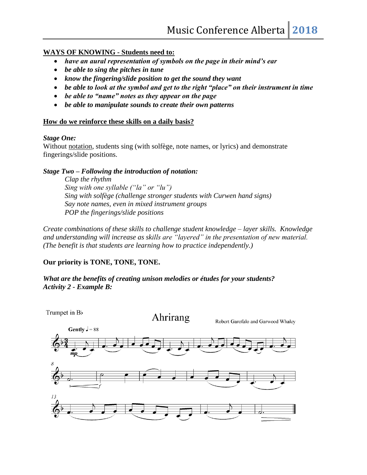#### **WAYS OF KNOWING - Students need to:**

- *have an aural representation of symbols on the page in their mind's ear*
- *be able to sing the pitches in tune*
- *know the fingering/slide position to get the sound they want*
- *be able to look at the symbol and get to the right "place" on their instrument in time*
- *be able to "name" notes as they appear on the page*
- *be able to manipulate sounds to create their own patterns*

#### **How do we reinforce these skills on a daily basis?**

#### *Stage One:*

Without notation, students sing (with solfège, note names, or lyrics) and demonstrate fingerings/slide positions.

#### *Stage Two – Following the introduction of notation:*

*Clap the rhythm Sing with one syllable ("la" or "lu") Sing with solfège (challenge stronger students with Curwen hand signs) Say note names, even in mixed instrument groups POP the fingerings/slide positions*

*Create combinations of these skills to challenge student knowledge – layer skills. Knowledge and understanding will increase as skills are "layered" in the presentation of new material. (The benefit is that students are learning how to practice independently.)*

#### **Our priority is TONE, TONE, TONE.**

*What are the benefits of creating unison melodies or études for your students? Activity 2 - Example B:*

Trumpet in Bb Ahrirang Robert Garofalo and Garwood Whaley Gently  $J = 88$ mр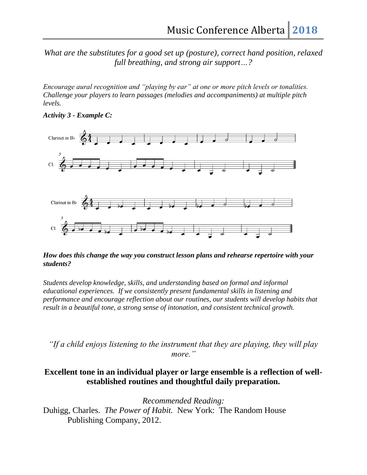*What are the substitutes for a good set up (posture), correct hand position, relaxed full breathing, and strong air support…?*

*Encourage aural recognition and "playing by ear" at one or more pitch levels or tonalities. Challenge your players to learn passages (melodies and accompaniments) at multiple pitch levels.*





#### *How does this change the way you construct lesson plans and rehearse repertoire with your students?*

*Students develop knowledge, skills, and understanding based on formal and informal educational experiences. If we consistently present fundamental skills in listening and performance and encourage reflection about our routines, our students will develop habits that result in a beautiful tone, a strong sense of intonation, and consistent technical growth.*

*"If a child enjoys listening to the instrument that they are playing, they will play more."*

### **Excellent tone in an individual player or large ensemble is a reflection of wellestablished routines and thoughtful daily preparation.**

*Recommended Reading:*

Duhigg, Charles. *The Power of Habit.* New York: The Random House Publishing Company, 2012.